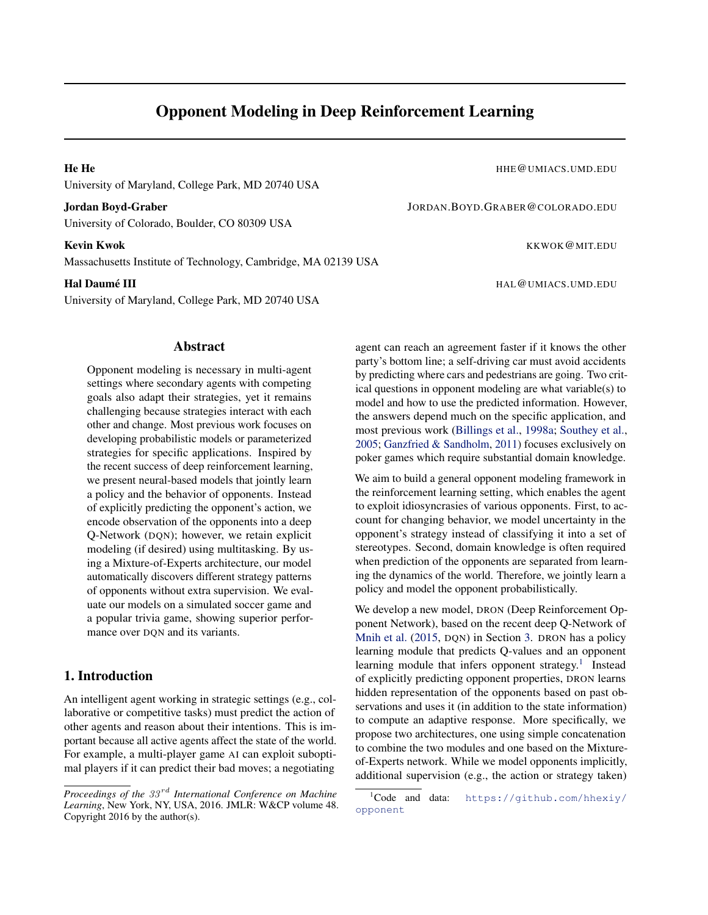# Opponent Modeling in Deep Reinforcement Learning

University of Maryland, College Park, MD 20740 USA

University of Colorado, Boulder, CO 80309 USA

Massachusetts Institute of Technology, Cambridge, MA 02139 USA

University of Maryland, College Park, MD 20740 USA

## Abstract

Opponent modeling is necessary in multi-agent settings where secondary agents with competing goals also adapt their strategies, yet it remains challenging because strategies interact with each other and change. Most previous work focuses on developing probabilistic models or parameterized strategies for specific applications. Inspired by the recent success of deep reinforcement learning, we present neural-based models that jointly learn a policy and the behavior of opponents. Instead of explicitly predicting the opponent's action, we encode observation of the opponents into a deep Q-Network (DQN); however, we retain explicit modeling (if desired) using multitasking. By using a Mixture-of-Experts architecture, our model automatically discovers different strategy patterns of opponents without extra supervision. We evaluate our models on a simulated soccer game and a popular trivia game, showing superior performance over DQN and its variants.

## 1. Introduction

An intelligent agent working in strategic settings (e.g., collaborative or competitive tasks) must predict the action of other agents and reason about their intentions. This is important because all active agents affect the state of the world. For example, a multi-player game AI can exploit suboptimal players if it can predict their bad moves; a negotiating

He He **He He He He He He He MIACS.UMD.EDU** 

Jordan Boyd-Graber JORDAN.BOYD.GRABER@COLORADO.EDU

Kevin Kwok **Kumpulan Kwoka Kabupulan Kwoka KKWOK@MIT.EDU** 

**Hal Daumé III Figure 11 Ann an t-ìreachadh ann am Seanachadh ann am Ann an t-ìreachadh ann am Ann an t-ìreachadh ann am Ann an t-ìreachadh ann an t-ìreachadh ann am Ann an t-ìreachadh ann an t-ìreachadh ann an t-ìreacha** 

agent can reach an agreement faster if it knows the other party's bottom line; a self-driving car must avoid accidents by predicting where cars and pedestrians are going. Two critical questions in opponent modeling are what variable(s) to model and how to use the predicted information. However, the answers depend much on the specific application, and most previous work [\(Billings et al.,](#page-8-0) [1998a;](#page-8-0) [Southey et al.,](#page-8-0) [2005;](#page-8-0) [Ganzfried & Sandholm,](#page-8-0) [2011\)](#page-8-0) focuses exclusively on poker games which require substantial domain knowledge.

We aim to build a general opponent modeling framework in the reinforcement learning setting, which enables the agent to exploit idiosyncrasies of various opponents. First, to account for changing behavior, we model uncertainty in the opponent's strategy instead of classifying it into a set of stereotypes. Second, domain knowledge is often required when prediction of the opponents are separated from learning the dynamics of the world. Therefore, we jointly learn a policy and model the opponent probabilistically.

We develop a new model, DRON (Deep Reinforcement Opponent Network), based on the recent deep Q-Network of [Mnih et al.](#page-8-0) [\(2015,](#page-8-0) DQN) in Section [3.](#page-1-0) DRON has a policy learning module that predicts Q-values and an opponent learning module that infers opponent strategy.<sup>1</sup> Instead of explicitly predicting opponent properties, DRON learns hidden representation of the opponents based on past observations and uses it (in addition to the state information) to compute an adaptive response. More specifically, we propose two architectures, one using simple concatenation to combine the two modules and one based on the Mixtureof-Experts network. While we model opponents implicitly, additional supervision (e.g., the action or strategy taken)

*Proceedings of the* 33 rd *International Conference on Machine Learning*, New York, NY, USA, 2016. JMLR: W&CP volume 48. Copyright 2016 by the author(s).

<sup>1</sup>Code and data: [https://github.com/hhexiy/](https://github.com/hhexiy/opponent) [opponent](https://github.com/hhexiy/opponent)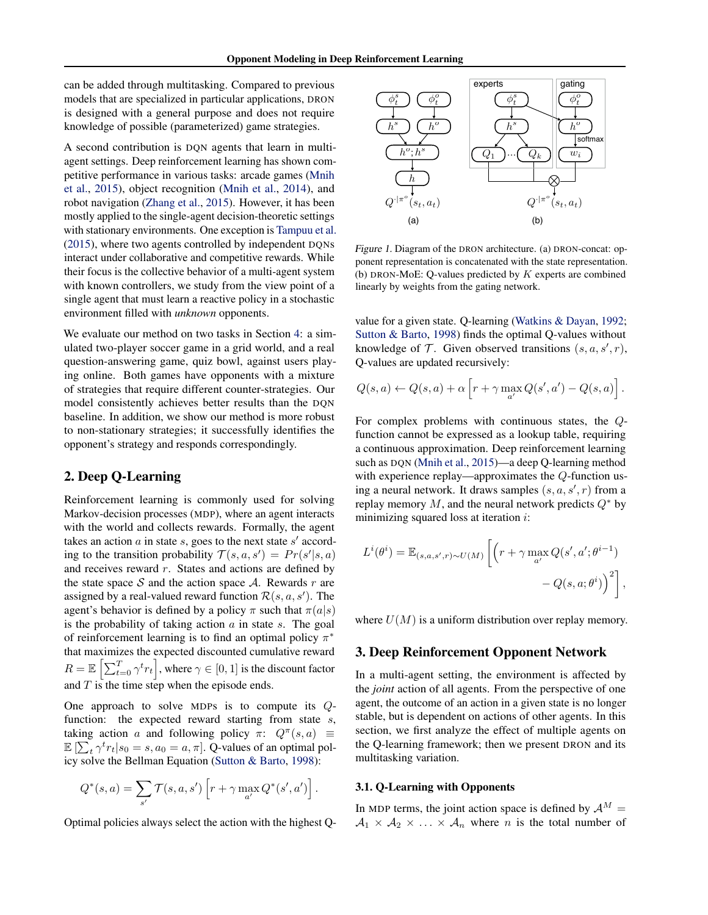<span id="page-1-0"></span>can be added through multitasking. Compared to previous models that are specialized in particular applications, DRON is designed with a general purpose and does not require knowledge of possible (parameterized) game strategies.

A second contribution is DQN agents that learn in multiagent settings. Deep reinforcement learning has shown competitive performance in various tasks: arcade games [\(Mnih](#page-8-0) [et al.,](#page-8-0) [2015\)](#page-8-0), object recognition [\(Mnih et al.,](#page-8-0) [2014\)](#page-8-0), and robot navigation [\(Zhang et al.,](#page-9-0) [2015\)](#page-9-0). However, it has been mostly applied to the single-agent decision-theoretic settings with stationary environments. One exception is [Tampuu et al.](#page-9-0) [\(2015\)](#page-9-0), where two agents controlled by independent DQNs interact under collaborative and competitive rewards. While their focus is the collective behavior of a multi-agent system with known controllers, we study from the view point of a single agent that must learn a reactive policy in a stochastic environment filled with *unknown* opponents.

We evaluate our method on two tasks in Section [4:](#page-3-0) a simulated two-player soccer game in a grid world, and a real question-answering game, quiz bowl, against users playing online. Both games have opponents with a mixture of strategies that require different counter-strategies. Our model consistently achieves better results than the DQN baseline. In addition, we show our method is more robust to non-stationary strategies; it successfully identifies the opponent's strategy and responds correspondingly.

## 2. Deep Q-Learning

Reinforcement learning is commonly used for solving Markov-decision processes (MDP), where an agent interacts with the world and collects rewards. Formally, the agent takes an action  $a$  in state  $s$ , goes to the next state  $s'$  according to the transition probability  $\mathcal{T}(s, a, s') = Pr(s'|s, a)$ and receives reward  $r$ . States and actions are defined by the state space S and the action space A. Rewards r are assigned by a real-valued reward function  $\mathcal{R}(s, a, s')$ . The agent's behavior is defined by a policy  $\pi$  such that  $\pi(a|s)$ is the probability of taking action  $\alpha$  in state  $\alpha$ . The goal of reinforcement learning is to find an optimal policy  $\pi^*$ that maximizes the expected discounted cumulative reward  $R = \mathbb{E}\left[\sum_{t=0}^{T} \gamma^t r_t\right]$ , where  $\gamma \in [0, 1]$  is the discount factor and  $T$  is the time step when the episode ends.

One approach to solve MDPs is to compute its Qfunction: the expected reward starting from state  $s$ , taking action a and following policy  $\pi$ :  $Q^{\pi}(s, a) \equiv$  $\mathbb{E}\left[\sum_{t} \gamma^{t} r_{t} | s_{0} = s, a_{0} = a, \pi\right]$ . Q-values of an optimal policy solve the Bellman Equation [\(Sutton & Barto,](#page-8-0) [1998\)](#page-8-0):

$$
Q^*(s, a) = \sum_{s'} \mathcal{T}(s, a, s') \left[ r + \gamma \max_{a'} Q^*(s', a') \right].
$$

Optimal policies always select the action with the highest Q-



Figure 1. Diagram of the DRON architecture. (a) DRON-concat: opponent representation is concatenated with the state representation. (b) DRON-MoE: Q-values predicted by  $K$  experts are combined linearly by weights from the gating network.

value for a given state. Q-learning [\(Watkins & Dayan,](#page-9-0) [1992;](#page-9-0) [Sutton & Barto,](#page-8-0) [1998\)](#page-8-0) finds the optimal Q-values without knowledge of  $\mathcal{T}$ . Given observed transitions  $(s, a, s', r)$ , Q-values are updated recursively:

$$
Q(s,a) \leftarrow Q(s,a) + \alpha \left[ r + \gamma \max_{a'} Q(s',a') - Q(s,a) \right].
$$

For complex problems with continuous states, the Qfunction cannot be expressed as a lookup table, requiring a continuous approximation. Deep reinforcement learning such as DQN [\(Mnih et al.,](#page-8-0) [2015\)](#page-8-0)—a deep Q-learning method with experience replay—approximates the Q-function using a neural network. It draws samples  $(s, a, s', r)$  from a replay memory M, and the neural network predicts  $Q^*$  by minimizing squared loss at iteration i:

$$
L^{i}(\theta^{i}) = \mathbb{E}_{(s,a,s',r) \sim U(M)} \left[ \left( r + \gamma \max_{a'} Q(s',a';\theta^{i-1}) - Q(s,a;\theta^{i}) \right)^{2} \right],
$$

where  $U(M)$  is a uniform distribution over replay memory.

## 3. Deep Reinforcement Opponent Network

In a multi-agent setting, the environment is affected by the *joint* action of all agents. From the perspective of one agent, the outcome of an action in a given state is no longer stable, but is dependent on actions of other agents. In this section, we first analyze the effect of multiple agents on the Q-learning framework; then we present DRON and its multitasking variation.

### 3.1. Q-Learning with Opponents

In MDP terms, the joint action space is defined by  $A^M =$  $A_1 \times A_2 \times \ldots \times A_n$  where *n* is the total number of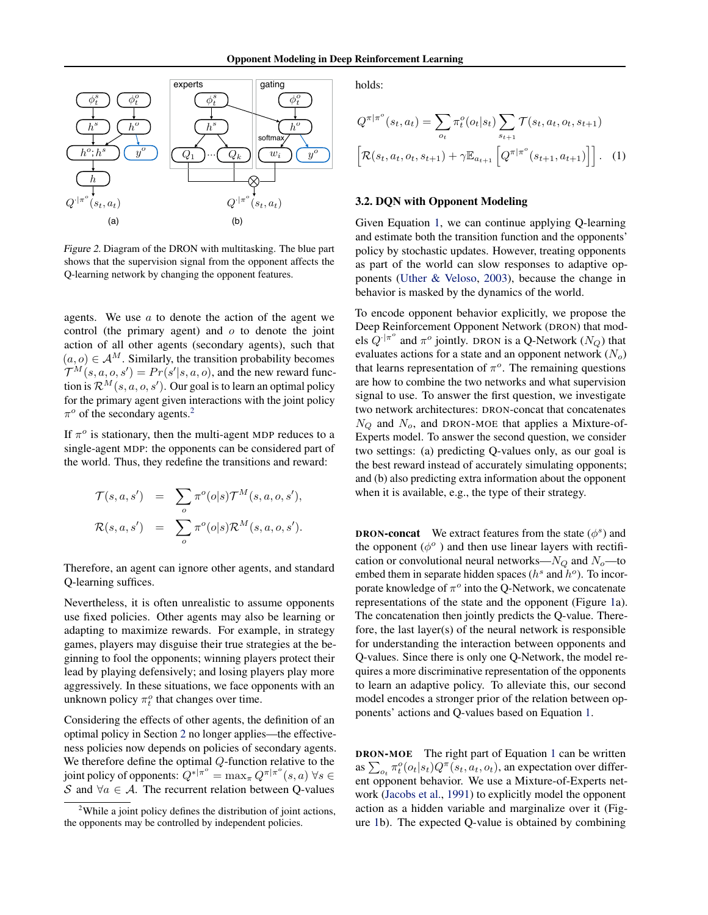<span id="page-2-0"></span>

Figure 2. Diagram of the DRON with multitasking. The blue part shows that the supervision signal from the opponent affects the Q-learning network by changing the opponent features.

agents. We use  $a$  to denote the action of the agent we control (the primary agent) and  $o$  to denote the joint action of all other agents (secondary agents), such that  $(a, o) \in A^M$ . Similarly, the transition probability becomes  $\mathcal{T}^{M}(s, a, o, s') = Pr(s'|s, a, o)$ , and the new reward function is  $\mathcal{R}^M(s, a, o, s')$ . Our goal is to learn an optimal policy for the primary agent given interactions with the joint policy  $\pi^o$  of the secondary agents.<sup>2</sup>

If  $\pi^o$  is stationary, then the multi-agent MDP reduces to a single-agent MDP: the opponents can be considered part of the world. Thus, they redefine the transitions and reward:

$$
\mathcal{T}(s, a, s') = \sum_{o} \pi^{o}(o|s) \mathcal{T}^{M}(s, a, o, s'),
$$
  

$$
\mathcal{R}(s, a, s') = \sum_{o} \pi^{o}(o|s) \mathcal{R}^{M}(s, a, o, s').
$$

Therefore, an agent can ignore other agents, and standard Q-learning suffices.

Nevertheless, it is often unrealistic to assume opponents use fixed policies. Other agents may also be learning or adapting to maximize rewards. For example, in strategy games, players may disguise their true strategies at the beginning to fool the opponents; winning players protect their lead by playing defensively; and losing players play more aggressively. In these situations, we face opponents with an unknown policy  $\pi_t^o$  that changes over time.

Considering the effects of other agents, the definition of an optimal policy in Section [2](#page-1-0) no longer applies—the effectiveness policies now depends on policies of secondary agents. We therefore define the optimal Q-function relative to the joint policy of opponents:  $Q^{*|\pi^o} = \max_{\pi} Q^{\pi|\pi^o}(s, a) \,\forall s \in$ S and  $\forall a \in \mathcal{A}$ . The recurrent relation between Q-values

holds:

$$
Q^{\pi|\pi^o}(s_t, a_t) = \sum_{o_t} \pi_t^o(o_t|s_t) \sum_{s_{t+1}} \mathcal{T}(s_t, a_t, o_t, s_{t+1})
$$

$$
\left[ \mathcal{R}(s_t, a_t, o_t, s_{t+1}) + \gamma \mathbb{E}_{a_{t+1}} \left[ Q^{\pi|\pi^o}(s_{t+1}, a_{t+1}) \right] \right]. \tag{1}
$$

### 3.2. DQN with Opponent Modeling

Given Equation 1, we can continue applying Q-learning and estimate both the transition function and the opponents' policy by stochastic updates. However, treating opponents as part of the world can slow responses to adaptive opponents [\(Uther & Veloso,](#page-9-0) [2003\)](#page-9-0), because the change in behavior is masked by the dynamics of the world.

To encode opponent behavior explicitly, we propose the Deep Reinforcement Opponent Network (DRON) that models  $Q^{\cdot|\pi^{\circ}}$  and  $\pi^{\circ}$  jointly. DRON is a Q-Network  $(N_Q)$  that evaluates actions for a state and an opponent network  $(N_o)$ that learns representation of  $\pi$ <sup>o</sup>. The remaining questions are how to combine the two networks and what supervision signal to use. To answer the first question, we investigate two network architectures: DRON-concat that concatenates  $N_Q$  and  $N_o$ , and DRON-MOE that applies a Mixture-of-Experts model. To answer the second question, we consider two settings: (a) predicting Q-values only, as our goal is the best reward instead of accurately simulating opponents; and (b) also predicting extra information about the opponent when it is available, e.g., the type of their strategy.

**DRON-concat** We extract features from the state  $(\phi^s)$  and the opponent  $(\phi^o)$  and then use linear layers with rectification or convolutional neural networks— $N_Q$  and  $N_o$ —to embed them in separate hidden spaces ( $h^s$  and  $h^o$ ). To incorporate knowledge of  $\pi^o$  into the Q-Network, we concatenate representations of the state and the opponent (Figure [1a](#page-1-0)). The concatenation then jointly predicts the Q-value. Therefore, the last layer(s) of the neural network is responsible for understanding the interaction between opponents and Q-values. Since there is only one Q-Network, the model requires a more discriminative representation of the opponents to learn an adaptive policy. To alleviate this, our second model encodes a stronger prior of the relation between opponents' actions and Q-values based on Equation 1.

DRON-MOE The right part of Equation 1 can be written as  $\sum_{o_t} \pi_t^o(o_t|s_t) Q^{\pi}(s_t, a_t, o_t)$ , an expectation over different opponent behavior. We use a Mixture-of-Experts network [\(Jacobs et al.,](#page-8-0) [1991\)](#page-8-0) to explicitly model the opponent action as a hidden variable and marginalize over it (Figure [1b](#page-1-0)). The expected Q-value is obtained by combining

<sup>2</sup>While a joint policy defines the distribution of joint actions, the opponents may be controlled by independent policies.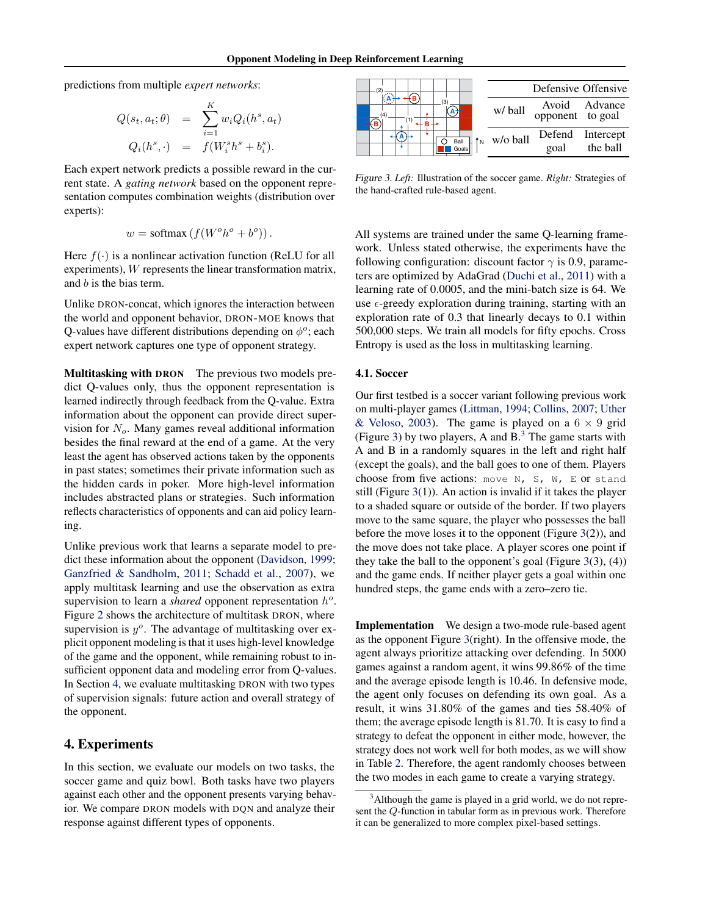<span id="page-3-0"></span>predictions from multiple *expert networks*:

$$
Q(s_t, a_t; \theta) = \sum_{i=1}^K w_i Q_i(h^s, a_t)
$$
  

$$
Q_i(h^s, \cdot) = f(W_i^s h^s + b_i^s).
$$

Each expert network predicts a possible reward in the current state. A *gating network* based on the opponent representation computes combination weights (distribution over experts):

$$
w = \text{softmax}\left(f(W^o h^o + b^o)\right).
$$

Here  $f(\cdot)$  is a nonlinear activation function (ReLU for all experiments), W represents the linear transformation matrix, and b is the bias term.

Unlike DRON-concat, which ignores the interaction between the world and opponent behavior, DRON-MOE knows that Q-values have different distributions depending on  $\phi^o$ ; each expert network captures one type of opponent strategy.

Multitasking with DRON The previous two models predict Q-values only, thus the opponent representation is learned indirectly through feedback from the Q-value. Extra information about the opponent can provide direct supervision for  $N<sub>o</sub>$ . Many games reveal additional information besides the final reward at the end of a game. At the very least the agent has observed actions taken by the opponents in past states; sometimes their private information such as the hidden cards in poker. More high-level information includes abstracted plans or strategies. Such information reflects characteristics of opponents and can aid policy learning.

Unlike previous work that learns a separate model to predict these information about the opponent [\(Davidson,](#page-8-0) [1999;](#page-8-0) [Ganzfried & Sandholm,](#page-8-0) [2011;](#page-8-0) [Schadd et al.,](#page-8-0) [2007\)](#page-8-0), we apply multitask learning and use the observation as extra supervision to learn a *shared* opponent representation  $h^o$ . Figure [2](#page-2-0) shows the architecture of multitask DRON, where supervision is  $y^o$ . The advantage of multitasking over explicit opponent modeling is that it uses high-level knowledge of the game and the opponent, while remaining robust to insufficient opponent data and modeling error from Q-values. In Section 4, we evaluate multitasking DRON with two types of supervision signals: future action and overall strategy of the opponent.

### 4. Experiments

In this section, we evaluate our models on two tasks, the soccer game and quiz bowl. Both tasks have two players against each other and the opponent presents varying behavior. We compare DRON models with DQN and analyze their response against different types of opponents.



Figure 3. *Left:* Illustration of the soccer game. *Right:* Strategies of the hand-crafted rule-based agent.

All systems are trained under the same Q-learning framework. Unless stated otherwise, the experiments have the following configuration: discount factor  $\gamma$  is 0.9, parameters are optimized by AdaGrad [\(Duchi et al.,](#page-8-0) [2011\)](#page-8-0) with a learning rate of 0.0005, and the mini-batch size is 64. We use  $\epsilon$ -greedy exploration during training, starting with an exploration rate of 0.3 that linearly decays to 0.1 within 500,000 steps. We train all models for fifty epochs. Cross Entropy is used as the loss in multitasking learning.

### 4.1. Soccer

Our first testbed is a soccer variant following previous work on multi-player games [\(Littman,](#page-8-0) [1994;](#page-8-0) [Collins,](#page-8-0) [2007;](#page-8-0) [Uther](#page-9-0) [& Veloso,](#page-9-0) [2003\)](#page-9-0). The game is played on a  $6 \times 9$  grid (Figure 3) by two players, A and  $B<sup>3</sup>$  The game starts with A and B in a randomly squares in the left and right half (except the goals), and the ball goes to one of them. Players choose from five actions: move N, S, W, E or stand still (Figure 3(1)). An action is invalid if it takes the player to a shaded square or outside of the border. If two players move to the same square, the player who possesses the ball before the move loses it to the opponent (Figure 3(2)), and the move does not take place. A player scores one point if they take the ball to the opponent's goal (Figure  $3(3)$ ,  $(4)$ ) and the game ends. If neither player gets a goal within one hundred steps, the game ends with a zero–zero tie.

Implementation We design a two-mode rule-based agent as the opponent Figure 3(right). In the offensive mode, the agent always prioritize attacking over defending. In 5000 games against a random agent, it wins 99.86% of the time and the average episode length is 10.46. In defensive mode, the agent only focuses on defending its own goal. As a result, it wins 31.80% of the games and ties 58.40% of them; the average episode length is 81.70. It is easy to find a strategy to defeat the opponent in either mode, however, the strategy does not work well for both modes, as we will show in Table [2.](#page-4-0) Therefore, the agent randomly chooses between the two modes in each game to create a varying strategy.

 $3$ Although the game is played in a grid world, we do not represent the Q-function in tabular form as in previous work. Therefore it can be generalized to more complex pixel-based settings.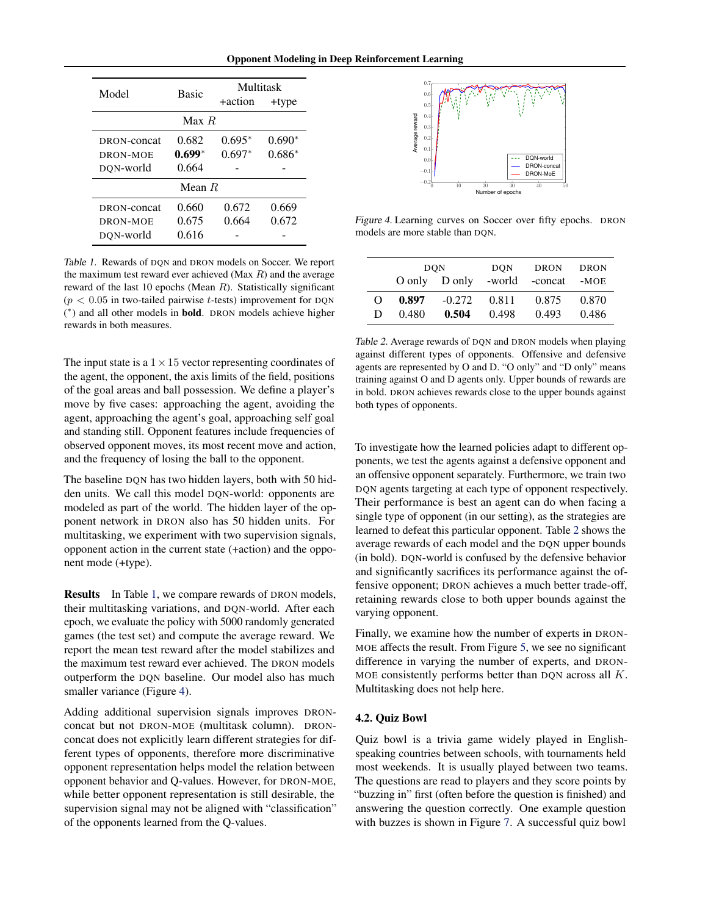|  |  |  | <b>Opponent Modeling in Deep Reinforcement Learning</b> |  |
|--|--|--|---------------------------------------------------------|--|
|--|--|--|---------------------------------------------------------|--|

<span id="page-4-0"></span>

| Model                                | <b>Basic</b>               | Multitask<br>+action | +type                |  |  |
|--------------------------------------|----------------------------|----------------------|----------------------|--|--|
| Max R                                |                            |                      |                      |  |  |
| DRON-concat<br>DRON-MOE<br>DON-world | 0.682<br>$0.699*$<br>0.664 | $0.695*$<br>$0.697*$ | $0.690*$<br>$0.686*$ |  |  |
| Mean $R$                             |                            |                      |                      |  |  |
| DRON-concat<br>DRON-MOE<br>DON-world | 0.660<br>0.675<br>0.616    | 0.672<br>0.664       | 0.669<br>0.672       |  |  |

Table 1. Rewards of DQN and DRON models on Soccer. We report the maximum test reward ever achieved (Max  $R$ ) and the average reward of the last 10 epochs (Mean  $R$ ). Statistically significant  $(p < 0.05$  in two-tailed pairwise t-tests) improvement for DQN (\*) and all other models in **bold**. DRON models achieve higher rewards in both measures.

The input state is a  $1 \times 15$  vector representing coordinates of the agent, the opponent, the axis limits of the field, positions of the goal areas and ball possession. We define a player's move by five cases: approaching the agent, avoiding the agent, approaching the agent's goal, approaching self goal and standing still. Opponent features include frequencies of observed opponent moves, its most recent move and action, and the frequency of losing the ball to the opponent.

The baseline DQN has two hidden layers, both with 50 hidden units. We call this model DQN-world: opponents are modeled as part of the world. The hidden layer of the opponent network in DRON also has 50 hidden units. For multitasking, we experiment with two supervision signals, opponent action in the current state (+action) and the opponent mode (+type).

Results In Table 1, we compare rewards of DRON models, their multitasking variations, and DQN-world. After each epoch, we evaluate the policy with 5000 randomly generated games (the test set) and compute the average reward. We report the mean test reward after the model stabilizes and the maximum test reward ever achieved. The DRON models outperform the DQN baseline. Our model also has much smaller variance (Figure 4).

Adding additional supervision signals improves DRONconcat but not DRON-MOE (multitask column). DRONconcat does not explicitly learn different strategies for different types of opponents, therefore more discriminative opponent representation helps model the relation between opponent behavior and Q-values. However, for DRON-MOE, while better opponent representation is still desirable, the supervision signal may not be aligned with "classification" of the opponents learned from the Q-values.



Figure 4. Learning curves on Soccer over fifty epochs. DRON models are more stable than DQN.

|          |       | <b>DON</b> | <b>DON</b> | DRON                              | DRON  |
|----------|-------|------------|------------|-----------------------------------|-------|
|          |       |            |            | O only D only -world -concat -MOE |       |
| $\Omega$ | 0.897 | $-0.272$   | 0.811      | 0.875                             | 0.870 |
| D        | 0.480 | 0.504      | 0.498      | 0.493                             | 0.486 |

Table 2. Average rewards of DQN and DRON models when playing against different types of opponents. Offensive and defensive agents are represented by O and D. "O only" and "D only" means training against O and D agents only. Upper bounds of rewards are in bold. DRON achieves rewards close to the upper bounds against both types of opponents.

To investigate how the learned policies adapt to different opponents, we test the agents against a defensive opponent and an offensive opponent separately. Furthermore, we train two DQN agents targeting at each type of opponent respectively. Their performance is best an agent can do when facing a single type of opponent (in our setting), as the strategies are learned to defeat this particular opponent. Table 2 shows the average rewards of each model and the DQN upper bounds (in bold). DQN-world is confused by the defensive behavior and significantly sacrifices its performance against the offensive opponent; DRON achieves a much better trade-off, retaining rewards close to both upper bounds against the varying opponent.

Finally, we examine how the number of experts in DRON-MOE affects the result. From Figure [5,](#page-5-0) we see no significant difference in varying the number of experts, and DRON-MOE consistently performs better than DQN across all  $K$ . Multitasking does not help here.

## 4.2. Quiz Bowl

Quiz bowl is a trivia game widely played in Englishspeaking countries between schools, with tournaments held most weekends. It is usually played between two teams. The questions are read to players and they score points by "buzzing in" first (often before the question is finished) and answering the question correctly. One example question with buzzes is shown in Figure [7.](#page-6-0) A successful quiz bowl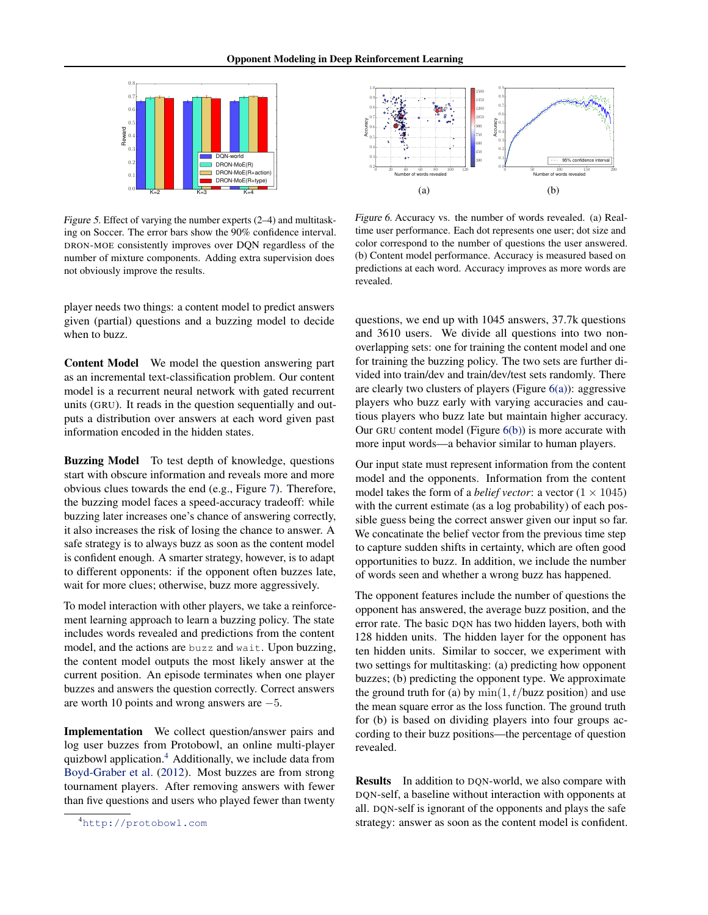<span id="page-5-0"></span>

Figure 5. Effect of varying the number experts (2–4) and multitasking on Soccer. The error bars show the 90% confidence interval. DRON-MOE consistently improves over DQN regardless of the number of mixture components. Adding extra supervision does not obviously improve the results.

player needs two things: a content model to predict answers given (partial) questions and a buzzing model to decide when to buzz.

Content Model We model the question answering part as an incremental text-classification problem. Our content model is a recurrent neural network with gated recurrent units (GRU). It reads in the question sequentially and outputs a distribution over answers at each word given past information encoded in the hidden states.

Buzzing Model To test depth of knowledge, questions start with obscure information and reveals more and more obvious clues towards the end (e.g., Figure [7\)](#page-6-0). Therefore, the buzzing model faces a speed-accuracy tradeoff: while buzzing later increases one's chance of answering correctly, it also increases the risk of losing the chance to answer. A safe strategy is to always buzz as soon as the content model is confident enough. A smarter strategy, however, is to adapt to different opponents: if the opponent often buzzes late, wait for more clues; otherwise, buzz more aggressively.

To model interaction with other players, we take a reinforcement learning approach to learn a buzzing policy. The state includes words revealed and predictions from the content model, and the actions are buzz and wait. Upon buzzing, the content model outputs the most likely answer at the current position. An episode terminates when one player buzzes and answers the question correctly. Correct answers are worth 10 points and wrong answers are −5.

Implementation We collect question/answer pairs and log user buzzes from Protobowl, an online multi-player quizbowl application.<sup>4</sup> Additionally, we include data from [Boyd-Graber et al.](#page-8-0) [\(2012\)](#page-8-0). Most buzzes are from strong tournament players. After removing answers with fewer than five questions and users who played fewer than twenty



Figure 6. Accuracy vs. the number of words revealed. (a) Realtime user performance. Each dot represents one user; dot size and color correspond to the number of questions the user answered. (b) Content model performance. Accuracy is measured based on predictions at each word. Accuracy improves as more words are revealed.

questions, we end up with 1045 answers, 37.7k questions and 3610 users. We divide all questions into two nonoverlapping sets: one for training the content model and one for training the buzzing policy. The two sets are further divided into train/dev and train/dev/test sets randomly. There are clearly two clusters of players (Figure  $6(a)$ ): aggressive players who buzz early with varying accuracies and cautious players who buzz late but maintain higher accuracy. Our GRU content model (Figure  $6(b)$ ) is more accurate with more input words—a behavior similar to human players.

Our input state must represent information from the content model and the opponents. Information from the content model takes the form of a *belief vector*: a vector  $(1 \times 1045)$ with the current estimate (as a log probability) of each possible guess being the correct answer given our input so far. We concatinate the belief vector from the previous time step to capture sudden shifts in certainty, which are often good opportunities to buzz. In addition, we include the number of words seen and whether a wrong buzz has happened.

The opponent features include the number of questions the opponent has answered, the average buzz position, and the error rate. The basic DQN has two hidden layers, both with 128 hidden units. The hidden layer for the opponent has ten hidden units. Similar to soccer, we experiment with two settings for multitasking: (a) predicting how opponent buzzes; (b) predicting the opponent type. We approximate the ground truth for (a) by  $\min(1, t/\text{buzz position})$  and use the mean square error as the loss function. The ground truth for (b) is based on dividing players into four groups according to their buzz positions—the percentage of question revealed.

Results In addition to DQN-world, we also compare with DQN-self, a baseline without interaction with opponents at all. DQN-self is ignorant of the opponents and plays the safe strategy: answer as soon as the content model is confident.

<sup>4</sup><http://protobowl.com>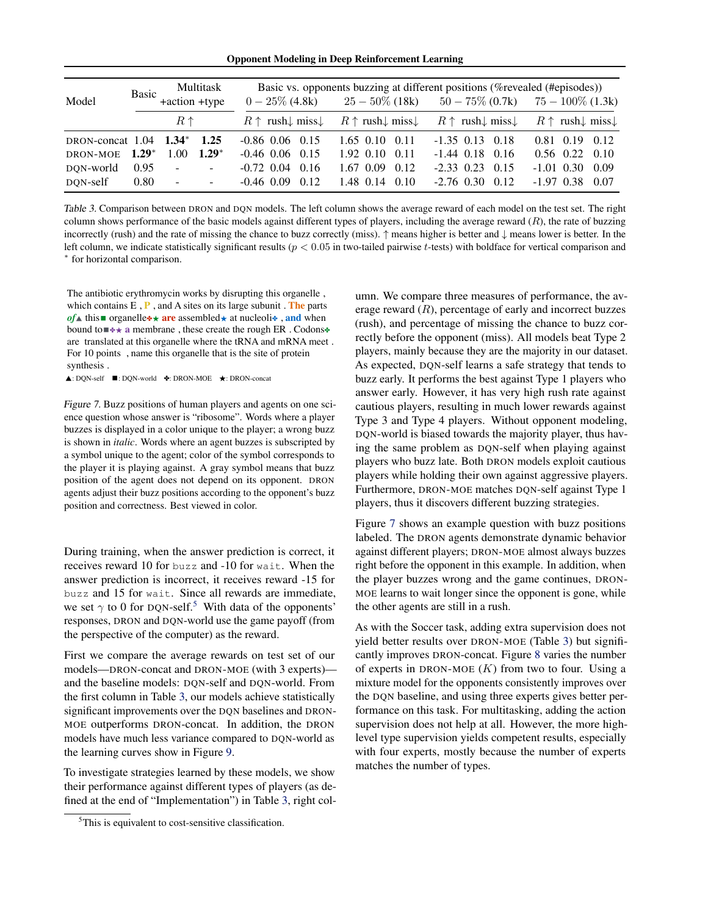Opponent Modeling in Deep Reinforcement Learning

<span id="page-6-0"></span>

| Model                      | <b>Basic</b> | +action +type | Multitask                                                                                                         |                                      | $0-25\%$ (4.8k) $25-50\%$ (18k)                            | Basic vs. opponents buzzing at different positions (% revealed (#episodes)) | $50-75\%$ (0.7k) $75-100\%$ (1.3k)                                                                                     |
|----------------------------|--------------|---------------|-------------------------------------------------------------------------------------------------------------------|--------------------------------------|------------------------------------------------------------|-----------------------------------------------------------------------------|------------------------------------------------------------------------------------------------------------------------|
|                            |              | $R \uparrow$  |                                                                                                                   | $R \uparrow$ rush $\downarrow$ miss. | $R \uparrow \text{rush} \downarrow \text{miss} \downarrow$ |                                                                             | $R \uparrow \text{rush}\downarrow \text{miss}\downarrow \qquad R \uparrow \text{rush}\downarrow \text{miss}\downarrow$ |
| DRON-concat 1.04 1.34 1.25 |              |               |                                                                                                                   | $-0.86$ 0.06 0.15                    | $1.65$ 0.10 0.11                                           | $-1.35$ 0.13 0.18                                                           | $0.81$ $0.19$ $0.12$                                                                                                   |
| DRON-MOE                   | $1.29*$      | 1.00          | $1.29*$                                                                                                           | $-0.46$ 0.06 0.15                    | $1.92 \quad 0.10 \quad 0.11$                               | $-1.44$ 0.18 0.16                                                           | $0.56$ $0.22$ $0.10$                                                                                                   |
| DON-world                  | 0.95         | $\sim$        | $\Delta \sim 10$                                                                                                  | $-0.72$ 0.04 0.16                    | $1.67$ 0.09 0.12                                           | $-2.33$ 0.23 0.15                                                           | $-1.01$ 0.30<br>0.09                                                                                                   |
| DQN-self                   | 0.80         | $\sim$        | $\mathcal{L}^{\mathcal{L}}(\mathcal{L}^{\mathcal{L}})$ and $\mathcal{L}^{\mathcal{L}}(\mathcal{L}^{\mathcal{L}})$ | $-0.46$ $0.09$ $0.12$                | $1.48$ 0.14 0.10                                           | $-2.76$ 0.30 0.12                                                           | $-1.97$ 0.38<br>0.07                                                                                                   |

Table 3. Comparison between DRON and DQN models. The left column shows the average reward of each model on the test set. The right column shows performance of the basic models against different types of players, including the average reward  $(R)$ , the rate of buzzing incorrectly (rush) and the rate of missing the chance to buzz correctly (miss). ↑ means higher is better and ↓ means lower is better. In the left column, we indicate statistically significant results ( $p < 0.05$  in two-tailed pairwise t-tests) with boldface for vertical comparison and ∗ for horizontal comparison.

The antibiotic erythromycin works by disrupting this organelle , which contains E , **P** , and A sites on its large subunit . **The** parts *of*  $\triangle$  this ■ organelle  $\triangle$  **are** assembled  $\star$  at nucleoli $\triangle$ , and when bound to  $\blacktriangleright\star\star$  a membrane, these create the rough ER. Codons $\blacklozenge$ are translated at this organelle where the tRNA and mRNA meet . For 10 points , name this organelle that is the site of protein synthesis .

-: DQN-self : DQN-world ✤: DRON-MOE : DRON-concat

Figure 7. Buzz positions of human players and agents on one science question whose answer is "ribosome". Words where a player buzzes is displayed in a color unique to the player; a wrong buzz is shown in *italic*. Words where an agent buzzes is subscripted by a symbol unique to the agent; color of the symbol corresponds to the player it is playing against. A gray symbol means that buzz position of the agent does not depend on its opponent. DRON agents adjust their buzz positions according to the opponent's buzz position and correctness. Best viewed in color.

During training, when the answer prediction is correct, it receives reward 10 for buzz and -10 for wait. When the answer prediction is incorrect, it receives reward -15 for buzz and 15 for wait. Since all rewards are immediate, we set  $\gamma$  to 0 for DQN-self.<sup>5</sup> With data of the opponents' responses, DRON and DQN-world use the game payoff (from the perspective of the computer) as the reward.

First we compare the average rewards on test set of our models—DRON-concat and DRON-MOE (with 3 experts) and the baseline models: DQN-self and DQN-world. From the first column in Table 3, our models achieve statistically significant improvements over the DQN baselines and DRON-MOE outperforms DRON-concat. In addition, the DRON models have much less variance compared to DQN-world as the learning curves show in Figure [9.](#page-7-0)

To investigate strategies learned by these models, we show their performance against different types of players (as defined at the end of "Implementation") in Table 3, right column. We compare three measures of performance, the average reward  $(R)$ , percentage of early and incorrect buzzes (rush), and percentage of missing the chance to buzz correctly before the opponent (miss). All models beat Type 2 players, mainly because they are the majority in our dataset. As expected, DQN-self learns a safe strategy that tends to buzz early. It performs the best against Type 1 players who answer early. However, it has very high rush rate against cautious players, resulting in much lower rewards against Type 3 and Type 4 players. Without opponent modeling, DQN-world is biased towards the majority player, thus having the same problem as DQN-self when playing against players who buzz late. Both DRON models exploit cautious players while holding their own against aggressive players. Furthermore, DRON-MOE matches DQN-self against Type 1 players, thus it discovers different buzzing strategies.

Figure 7 shows an example question with buzz positions labeled. The DRON agents demonstrate dynamic behavior against different players; DRON-MOE almost always buzzes right before the opponent in this example. In addition, when the player buzzes wrong and the game continues, DRON-MOE learns to wait longer since the opponent is gone, while the other agents are still in a rush.

As with the Soccer task, adding extra supervision does not yield better results over DRON-MOE (Table 3) but significantly improves DRON-concat. Figure [8](#page-7-0) varies the number of experts in DRON-MOE  $(K)$  from two to four. Using a mixture model for the opponents consistently improves over the DQN baseline, and using three experts gives better performance on this task. For multitasking, adding the action supervision does not help at all. However, the more highlevel type supervision yields competent results, especially with four experts, mostly because the number of experts matches the number of types.

<sup>&</sup>lt;sup>5</sup>This is equivalent to cost-sensitive classification.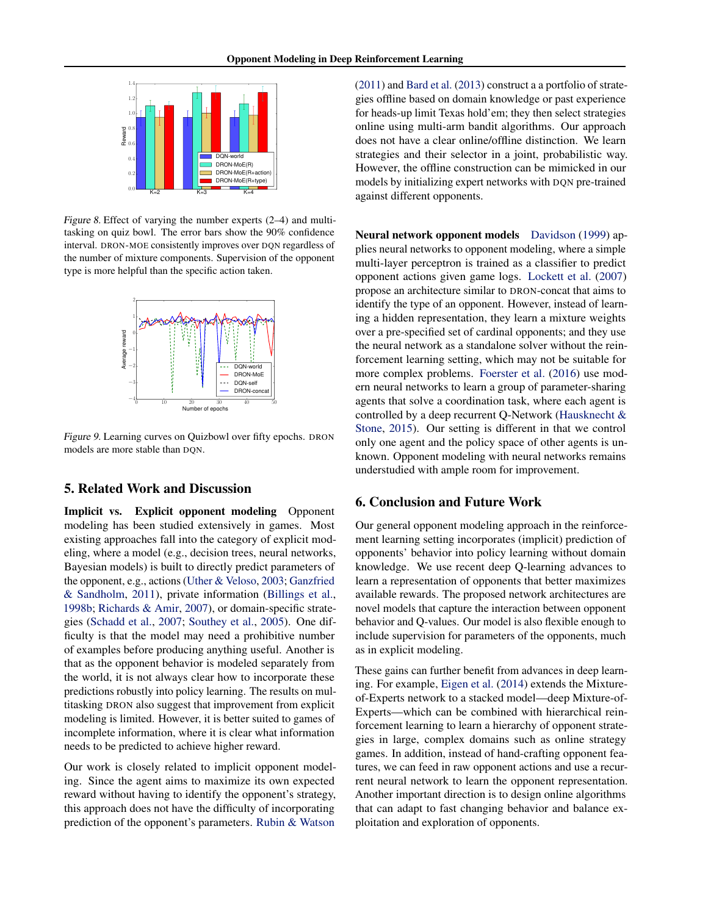<span id="page-7-0"></span>

Figure 8. Effect of varying the number experts (2–4) and multitasking on quiz bowl. The error bars show the 90% confidence interval. DRON-MOE consistently improves over DQN regardless of the number of mixture components. Supervision of the opponent type is more helpful than the specific action taken.



Figure 9. Learning curves on Quizbowl over fifty epochs. DRON models are more stable than DQN.

## 5. Related Work and Discussion

Implicit vs. Explicit opponent modeling Opponent modeling has been studied extensively in games. Most existing approaches fall into the category of explicit modeling, where a model (e.g., decision trees, neural networks, Bayesian models) is built to directly predict parameters of the opponent, e.g., actions [\(Uther & Veloso,](#page-9-0) [2003;](#page-9-0) [Ganzfried](#page-8-0) [& Sandholm,](#page-8-0) [2011\)](#page-8-0), private information [\(Billings et al.,](#page-8-0) [1998b;](#page-8-0) [Richards & Amir,](#page-8-0) [2007\)](#page-8-0), or domain-specific strategies [\(Schadd et al.,](#page-8-0) [2007;](#page-8-0) [Southey et al.,](#page-8-0) [2005\)](#page-8-0). One difficulty is that the model may need a prohibitive number of examples before producing anything useful. Another is that as the opponent behavior is modeled separately from the world, it is not always clear how to incorporate these predictions robustly into policy learning. The results on multitasking DRON also suggest that improvement from explicit modeling is limited. However, it is better suited to games of incomplete information, where it is clear what information needs to be predicted to achieve higher reward.

Our work is closely related to implicit opponent modeling. Since the agent aims to maximize its own expected reward without having to identify the opponent's strategy, this approach does not have the difficulty of incorporating prediction of the opponent's parameters. [Rubin & Watson](#page-8-0)

[\(2011\)](#page-8-0) and [Bard et al.](#page-8-0) [\(2013\)](#page-8-0) construct a a portfolio of strategies offline based on domain knowledge or past experience for heads-up limit Texas hold'em; they then select strategies online using multi-arm bandit algorithms. Our approach does not have a clear online/offline distinction. We learn strategies and their selector in a joint, probabilistic way. However, the offline construction can be mimicked in our models by initializing expert networks with DQN pre-trained against different opponents.

Neural network opponent models [Davidson](#page-8-0) [\(1999\)](#page-8-0) applies neural networks to opponent modeling, where a simple multi-layer perceptron is trained as a classifier to predict opponent actions given game logs. [Lockett et al.](#page-8-0) [\(2007\)](#page-8-0) propose an architecture similar to DRON-concat that aims to identify the type of an opponent. However, instead of learning a hidden representation, they learn a mixture weights over a pre-specified set of cardinal opponents; and they use the neural network as a standalone solver without the reinforcement learning setting, which may not be suitable for more complex problems. [Foerster et al.](#page-8-0) [\(2016\)](#page-8-0) use modern neural networks to learn a group of parameter-sharing agents that solve a coordination task, where each agent is controlled by a deep recurrent Q-Network [\(Hausknecht &](#page-8-0) [Stone,](#page-8-0) [2015\)](#page-8-0). Our setting is different in that we control only one agent and the policy space of other agents is unknown. Opponent modeling with neural networks remains understudied with ample room for improvement.

## 6. Conclusion and Future Work

Our general opponent modeling approach in the reinforcement learning setting incorporates (implicit) prediction of opponents' behavior into policy learning without domain knowledge. We use recent deep Q-learning advances to learn a representation of opponents that better maximizes available rewards. The proposed network architectures are novel models that capture the interaction between opponent behavior and Q-values. Our model is also flexible enough to include supervision for parameters of the opponents, much as in explicit modeling.

These gains can further benefit from advances in deep learning. For example, [Eigen et al.](#page-8-0) [\(2014\)](#page-8-0) extends the Mixtureof-Experts network to a stacked model—deep Mixture-of-Experts—which can be combined with hierarchical reinforcement learning to learn a hierarchy of opponent strategies in large, complex domains such as online strategy games. In addition, instead of hand-crafting opponent features, we can feed in raw opponent actions and use a recurrent neural network to learn the opponent representation. Another important direction is to design online algorithms that can adapt to fast changing behavior and balance exploitation and exploration of opponents.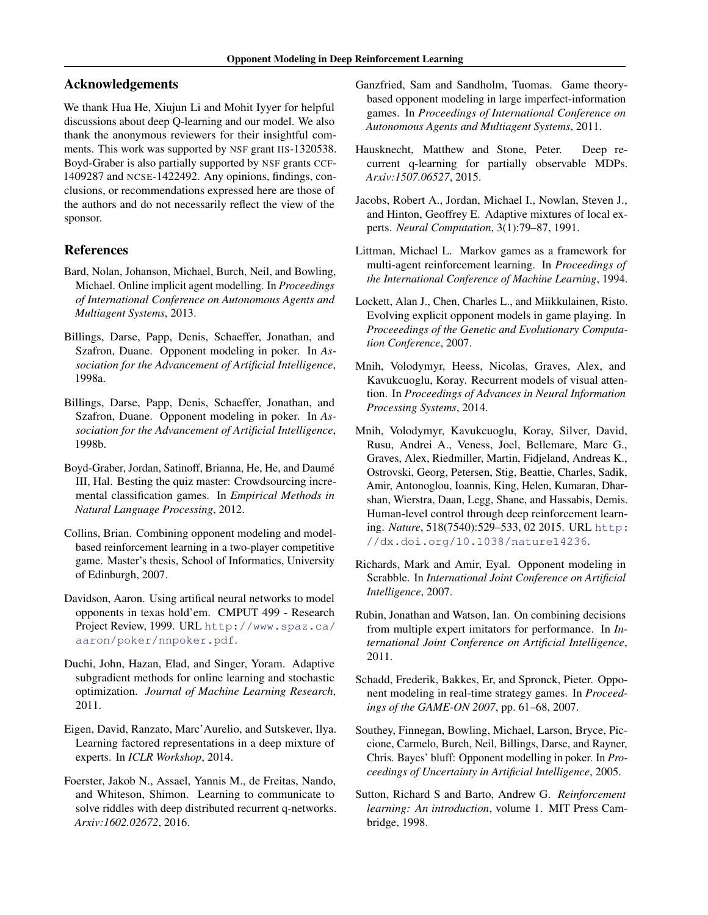## <span id="page-8-0"></span>Acknowledgements

We thank Hua He, Xiujun Li and Mohit Iyyer for helpful discussions about deep Q-learning and our model. We also thank the anonymous reviewers for their insightful comments. This work was supported by NSF grant IIS-1320538. Boyd-Graber is also partially supported by NSF grants CCF-1409287 and NCSE-1422492. Any opinions, findings, conclusions, or recommendations expressed here are those of the authors and do not necessarily reflect the view of the sponsor.

## References

- Bard, Nolan, Johanson, Michael, Burch, Neil, and Bowling, Michael. Online implicit agent modelling. In *Proceedings of International Conference on Autonomous Agents and Multiagent Systems*, 2013.
- Billings, Darse, Papp, Denis, Schaeffer, Jonathan, and Szafron, Duane. Opponent modeling in poker. In *Association for the Advancement of Artificial Intelligence*, 1998a.
- Billings, Darse, Papp, Denis, Schaeffer, Jonathan, and Szafron, Duane. Opponent modeling in poker. In *Association for the Advancement of Artificial Intelligence*, 1998b.
- Boyd-Graber, Jordan, Satinoff, Brianna, He, He, and Daume´ III, Hal. Besting the quiz master: Crowdsourcing incremental classification games. In *Empirical Methods in Natural Language Processing*, 2012.
- Collins, Brian. Combining opponent modeling and modelbased reinforcement learning in a two-player competitive game. Master's thesis, School of Informatics, University of Edinburgh, 2007.
- Davidson, Aaron. Using artifical neural networks to model opponents in texas hold'em. CMPUT 499 - Research Project Review, 1999. URL [http://www.spaz.ca/](http://www.spaz.ca/aaron/poker/nnpoker.pdf) [aaron/poker/nnpoker.pdf](http://www.spaz.ca/aaron/poker/nnpoker.pdf).
- Duchi, John, Hazan, Elad, and Singer, Yoram. Adaptive subgradient methods for online learning and stochastic optimization. *Journal of Machine Learning Research*, 2011.
- Eigen, David, Ranzato, Marc'Aurelio, and Sutskever, Ilya. Learning factored representations in a deep mixture of experts. In *ICLR Workshop*, 2014.
- Foerster, Jakob N., Assael, Yannis M., de Freitas, Nando, and Whiteson, Shimon. Learning to communicate to solve riddles with deep distributed recurrent q-networks. *Arxiv:1602.02672*, 2016.
- Ganzfried, Sam and Sandholm, Tuomas. Game theorybased opponent modeling in large imperfect-information games. In *Proceedings of International Conference on Autonomous Agents and Multiagent Systems*, 2011.
- Hausknecht, Matthew and Stone, Peter. Deep recurrent q-learning for partially observable MDPs. *Arxiv:1507.06527*, 2015.
- Jacobs, Robert A., Jordan, Michael I., Nowlan, Steven J., and Hinton, Geoffrey E. Adaptive mixtures of local experts. *Neural Computation*, 3(1):79–87, 1991.
- Littman, Michael L. Markov games as a framework for multi-agent reinforcement learning. In *Proceedings of the International Conference of Machine Learning*, 1994.
- Lockett, Alan J., Chen, Charles L., and Miikkulainen, Risto. Evolving explicit opponent models in game playing. In *Proceeedings of the Genetic and Evolutionary Computation Conference*, 2007.
- Mnih, Volodymyr, Heess, Nicolas, Graves, Alex, and Kavukcuoglu, Koray. Recurrent models of visual attention. In *Proceedings of Advances in Neural Information Processing Systems*, 2014.
- Mnih, Volodymyr, Kavukcuoglu, Koray, Silver, David, Rusu, Andrei A., Veness, Joel, Bellemare, Marc G., Graves, Alex, Riedmiller, Martin, Fidjeland, Andreas K., Ostrovski, Georg, Petersen, Stig, Beattie, Charles, Sadik, Amir, Antonoglou, Ioannis, King, Helen, Kumaran, Dharshan, Wierstra, Daan, Legg, Shane, and Hassabis, Demis. Human-level control through deep reinforcement learning. *Nature*, 518(7540):529–533, 02 2015. URL [http:](http://dx.doi.org/10.1038/nature14236) [//dx.doi.org/10.1038/nature14236](http://dx.doi.org/10.1038/nature14236).
- Richards, Mark and Amir, Eyal. Opponent modeling in Scrabble. In *International Joint Conference on Artificial Intelligence*, 2007.
- Rubin, Jonathan and Watson, Ian. On combining decisions from multiple expert imitators for performance. In *International Joint Conference on Artificial Intelligence*, 2011.
- Schadd, Frederik, Bakkes, Er, and Spronck, Pieter. Opponent modeling in real-time strategy games. In *Proceedings of the GAME-ON 2007*, pp. 61–68, 2007.
- Southey, Finnegan, Bowling, Michael, Larson, Bryce, Piccione, Carmelo, Burch, Neil, Billings, Darse, and Rayner, Chris. Bayes' bluff: Opponent modelling in poker. In *Proceedings of Uncertainty in Artificial Intelligence*, 2005.
- Sutton, Richard S and Barto, Andrew G. *Reinforcement learning: An introduction*, volume 1. MIT Press Cambridge, 1998.